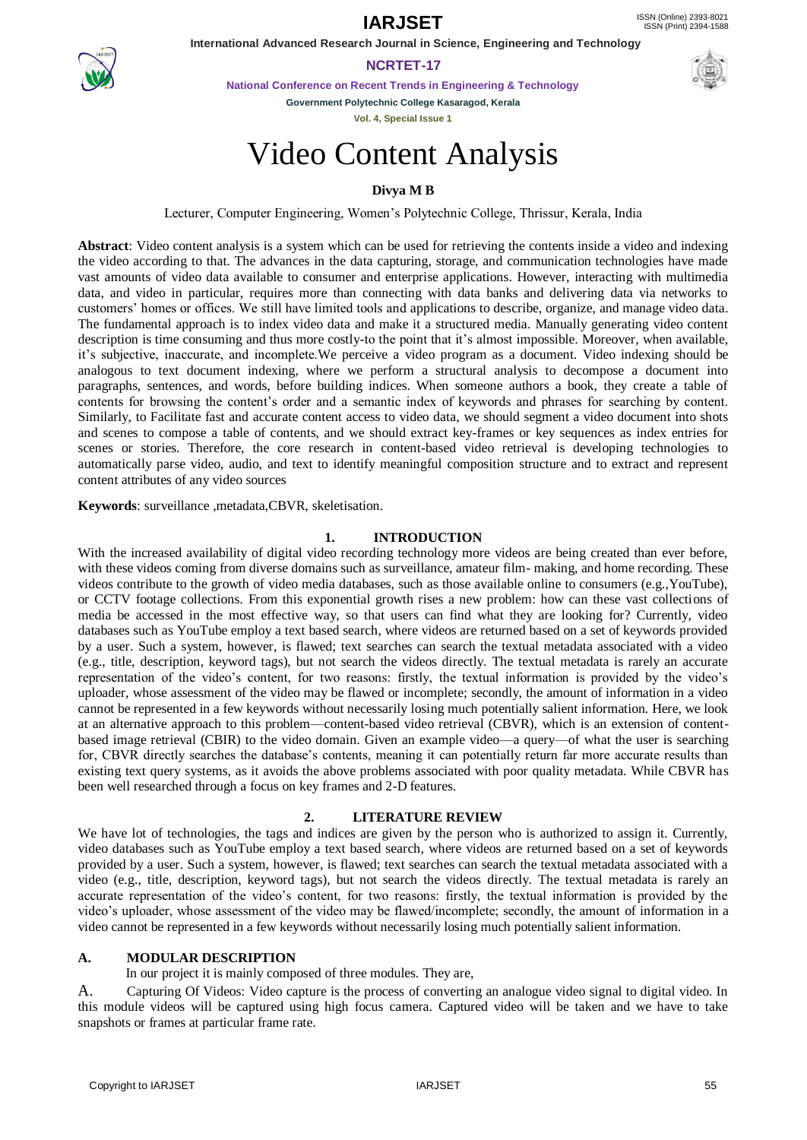**IARJSET** ISSN (Online) 2393-8021



 **International Advanced Research Journal in Science, Engineering and Technology NCRTET-17**

**National Conference on Recent Trends in Engineering & Technology**

**Government Polytechnic College Kasaragod, Kerala**

**Vol. 4, Special Issue 1**

# Video Content Analysis

## **Divya M B**

Lecturer, Computer Engineering, Women's Polytechnic College, Thrissur, Kerala, India

**Abstract**: Video content analysis is a system which can be used for retrieving the contents inside a video and indexing the video according to that. The advances in the data capturing, storage, and communication technologies have made vast amounts of video data available to consumer and enterprise applications. However, interacting with multimedia data, and video in particular, requires more than connecting with data banks and delivering data via networks to customers' homes or offices. We still have limited tools and applications to describe, organize, and manage video data. The fundamental approach is to index video data and make it a structured media. Manually generating video content description is time consuming and thus more costly-to the point that it's almost impossible. Moreover, when available, it's subjective, inaccurate, and incomplete.We perceive a video program as a document. Video indexing should be analogous to text document indexing, where we perform a structural analysis to decompose a document into paragraphs, sentences, and words, before building indices. When someone authors a book, they create a table of contents for browsing the content's order and a semantic index of keywords and phrases for searching by content. Similarly, to Facilitate fast and accurate content access to video data, we should segment a video document into shots and scenes to compose a table of contents, and we should extract key-frames or key sequences as index entries for scenes or stories. Therefore, the core research in content-based video retrieval is developing technologies to automatically parse video, audio, and text to identify meaningful composition structure and to extract and represent content attributes of any video sources

**Keywords**: surveillance ,metadata,CBVR, skeletisation.

#### **1. INTRODUCTION**

With the increased availability of digital video recording technology more videos are being created than ever before, with these videos coming from diverse domains such as surveillance, amateur film- making, and home recording. These videos contribute to the growth of video media databases, such as those available online to consumers (e.g.,YouTube), or CCTV footage collections. From this exponential growth rises a new problem: how can these vast collections of media be accessed in the most effective way, so that users can find what they are looking for? Currently, video databases such as YouTube employ a text based search, where videos are returned based on a set of keywords provided by a user. Such a system, however, is flawed; text searches can search the textual metadata associated with a video (e.g., title, description, keyword tags), but not search the videos directly. The textual metadata is rarely an accurate representation of the video's content, for two reasons: firstly, the textual information is provided by the video's uploader, whose assessment of the video may be flawed or incomplete; secondly, the amount of information in a video cannot be represented in a few keywords without necessarily losing much potentially salient information. Here, we look at an alternative approach to this problem—content-based video retrieval (CBVR), which is an extension of contentbased image retrieval (CBIR) to the video domain. Given an example video—a query—of what the user is searching for, CBVR directly searches the database's contents, meaning it can potentially return far more accurate results than existing text query systems, as it avoids the above problems associated with poor quality metadata. While CBVR has been well researched through a focus on key frames and 2-D features.

## **2. LITERATURE REVIEW**

We have lot of technologies, the tags and indices are given by the person who is authorized to assign it. Currently, video databases such as YouTube employ a text based search, where videos are returned based on a set of keywords provided by a user. Such a system, however, is flawed; text searches can search the textual metadata associated with a video (e.g., title, description, keyword tags), but not search the videos directly. The textual metadata is rarely an accurate representation of the video's content, for two reasons: firstly, the textual information is provided by the video's uploader, whose assessment of the video may be flawed/incomplete; secondly, the amount of information in a video cannot be represented in a few keywords without necessarily losing much potentially salient information.

## **A. MODULAR DESCRIPTION**

In our project it is mainly composed of three modules. They are,

A. Capturing Of Videos: Video capture is the process of converting an analogue video signal to digital video. In this module videos will be captured using high focus camera. Captured video will be taken and we have to take snapshots or frames at particular frame rate.

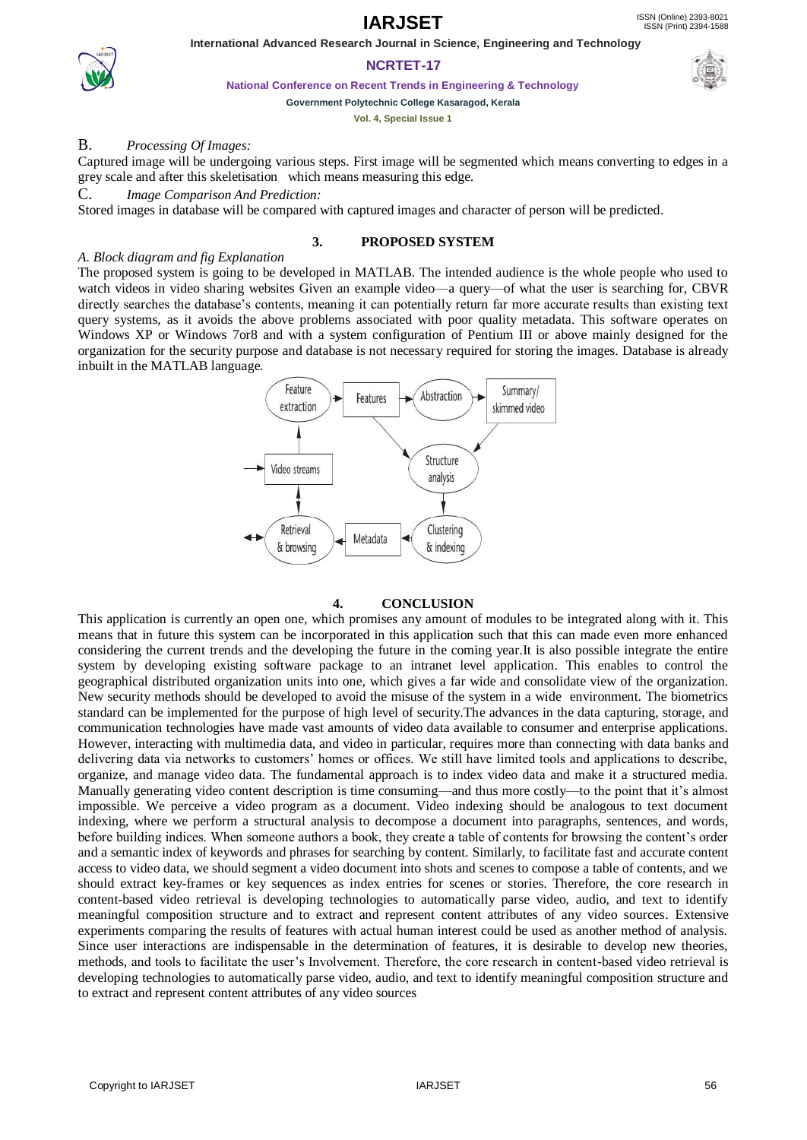**IARJSET** ISSN (Online) 2393-8021



## **NCRTET-17**

 **International Advanced Research Journal in Science, Engineering and Technology**

**National Conference on Recent Trends in Engineering & Technology**

## **Government Polytechnic College Kasaragod, Kerala**

**Vol. 4, Special Issue 1**

## B. *Processing Of Images:*

Captured image will be undergoing various steps. First image will be segmented which means converting to edges in a grey scale and after this skeletisation which means measuring this edge.

## C. *Image Comparison And Prediction:*

Stored images in database will be compared with captured images and character of person will be predicted.

#### **3. PROPOSED SYSTEM**

#### *A. Block diagram and fig Explanation*

The proposed system is going to be developed in MATLAB. The intended audience is the whole people who used to watch videos in video sharing websites Given an example video—a query—of what the user is searching for, CBVR directly searches the database's contents, meaning it can potentially return far more accurate results than existing text query systems, as it avoids the above problems associated with poor quality metadata. This software operates on Windows XP or Windows 7or8 and with a system configuration of Pentium III or above mainly designed for the organization for the security purpose and database is not necessary required for storing the images. Database is already inbuilt in the MATLAB language.



#### **4. CONCLUSION**

This application is currently an open one, which promises any amount of modules to be integrated along with it. This means that in future this system can be incorporated in this application such that this can made even more enhanced considering the current trends and the developing the future in the coming year.It is also possible integrate the entire system by developing existing software package to an intranet level application. This enables to control the geographical distributed organization units into one, which gives a far wide and consolidate view of the organization. New security methods should be developed to avoid the misuse of the system in a wide environment. The biometrics standard can be implemented for the purpose of high level of security.The advances in the data capturing, storage, and communication technologies have made vast amounts of video data available to consumer and enterprise applications. However, interacting with multimedia data, and video in particular, requires more than connecting with data banks and delivering data via networks to customers' homes or offices. We still have limited tools and applications to describe, organize, and manage video data. The fundamental approach is to index video data and make it a structured media. Manually generating video content description is time consuming—and thus more costly—to the point that it's almost impossible. We perceive a video program as a document. Video indexing should be analogous to text document indexing, where we perform a structural analysis to decompose a document into paragraphs, sentences, and words, before building indices. When someone authors a book, they create a table of contents for browsing the content's order and a semantic index of keywords and phrases for searching by content. Similarly, to facilitate fast and accurate content access to video data, we should segment a video document into shots and scenes to compose a table of contents, and we should extract key-frames or key sequences as index entries for scenes or stories. Therefore, the core research in content-based video retrieval is developing technologies to automatically parse video, audio, and text to identify meaningful composition structure and to extract and represent content attributes of any video sources. Extensive experiments comparing the results of features with actual human interest could be used as another method of analysis. Since user interactions are indispensable in the determination of features, it is desirable to develop new theories, methods, and tools to facilitate the user's Involvement. Therefore, the core research in content-based video retrieval is developing technologies to automatically parse video, audio, and text to identify meaningful composition structure and to extract and represent content attributes of any video sources